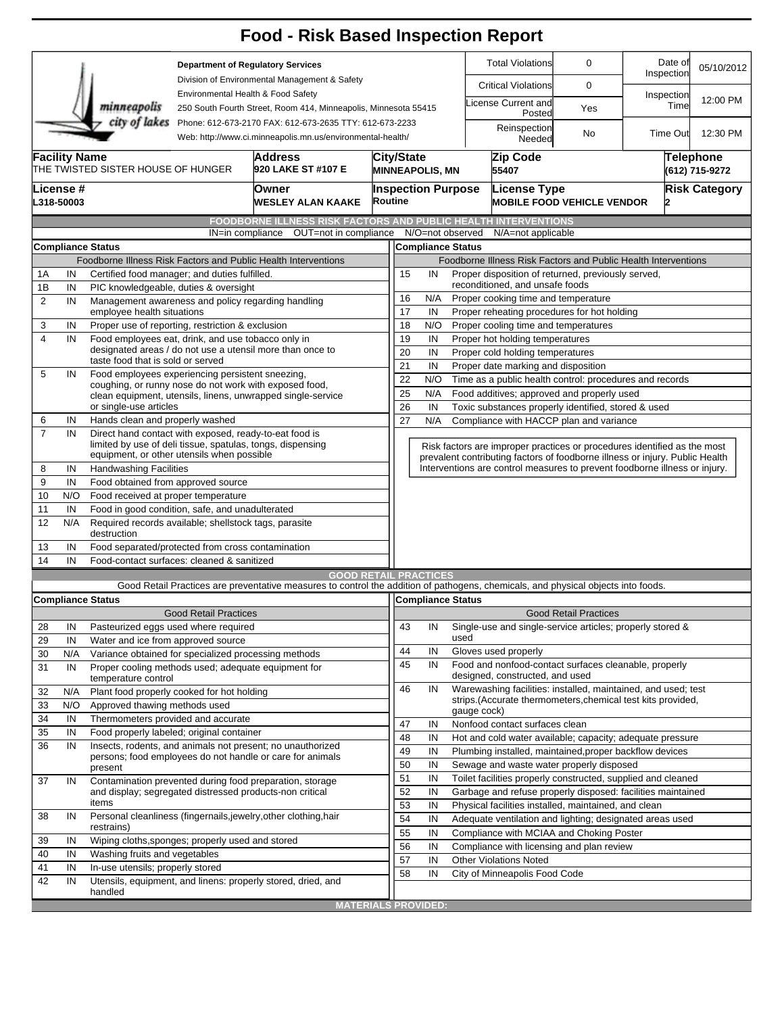|                                                                |                                                                                                    |                                                                                                                      |                                                                                                                       | <b>Food - Risk Based Inspection Report</b>                                                                                                                        |                                                                                                   |                                                                                                                                                          |                                                                                                        |                                                                                          |                              |                       |                                    |  |  |  |  |
|----------------------------------------------------------------|----------------------------------------------------------------------------------------------------|----------------------------------------------------------------------------------------------------------------------|-----------------------------------------------------------------------------------------------------------------------|-------------------------------------------------------------------------------------------------------------------------------------------------------------------|---------------------------------------------------------------------------------------------------|----------------------------------------------------------------------------------------------------------------------------------------------------------|--------------------------------------------------------------------------------------------------------|------------------------------------------------------------------------------------------|------------------------------|-----------------------|------------------------------------|--|--|--|--|
|                                                                |                                                                                                    | minneapolis                                                                                                          | <b>Department of Regulatory Services</b><br>Division of Environmental Management & Safety                             |                                                                                                                                                                   |                                                                                                   |                                                                                                                                                          |                                                                                                        | <b>Total Violations</b>                                                                  | 0                            | Date of<br>Inspection | 05/10/2012                         |  |  |  |  |
|                                                                |                                                                                                    |                                                                                                                      |                                                                                                                       |                                                                                                                                                                   |                                                                                                   |                                                                                                                                                          | <b>Critical Violations</b>                                                                             | 0                                                                                        |                              |                       |                                    |  |  |  |  |
|                                                                |                                                                                                    |                                                                                                                      | Environmental Health & Food Safety<br>250 South Fourth Street, Room 414, Minneapolis, Minnesota 55415                 |                                                                                                                                                                   |                                                                                                   |                                                                                                                                                          |                                                                                                        | icense Current and<br>Posted                                                             | Yes                          | Inspection<br>Time    | 12:00 PM                           |  |  |  |  |
|                                                                |                                                                                                    | city of lakes                                                                                                        | Phone: 612-673-2170 FAX: 612-673-2635 TTY: 612-673-2233<br>Web: http://www.ci.minneapolis.mn.us/environmental-health/ |                                                                                                                                                                   |                                                                                                   |                                                                                                                                                          | Reinspection<br>Needed                                                                                 | No                                                                                       | <b>Time Out</b>              | 12:30 PM              |                                    |  |  |  |  |
|                                                                | <b>Facility Name</b><br><b>Address</b><br>THE TWISTED SISTER HOUSE OF HUNGER<br>920 LAKE ST #107 E |                                                                                                                      |                                                                                                                       |                                                                                                                                                                   |                                                                                                   | Zip Code<br><b>City/State</b><br>55407<br><b>MINNEAPOLIS, MN</b>                                                                                         |                                                                                                        |                                                                                          |                              |                       | <b>Telephone</b><br>(612) 715-9272 |  |  |  |  |
|                                                                | License #<br>L318-50003                                                                            |                                                                                                                      | Owner<br><b>Routine</b><br><b>WESLEY ALAN KAAKE</b>                                                                   |                                                                                                                                                                   |                                                                                                   |                                                                                                                                                          | <b>Risk Category</b><br><b>Inspection Purpose</b><br>License Type<br><b>MOBILE FOOD VEHICLE VENDOR</b> |                                                                                          |                              |                       |                                    |  |  |  |  |
|                                                                |                                                                                                    |                                                                                                                      |                                                                                                                       | <b>FOODBORNE ILLNESS RISK FACTORS AND PUBLIC HEALTH INTERVENTIONS</b>                                                                                             |                                                                                                   |                                                                                                                                                          |                                                                                                        |                                                                                          |                              |                       |                                    |  |  |  |  |
|                                                                |                                                                                                    |                                                                                                                      | IN=in compliance                                                                                                      | OUT=not in compliance N/O=not observed                                                                                                                            |                                                                                                   |                                                                                                                                                          |                                                                                                        | N/A=not applicable                                                                       |                              |                       |                                    |  |  |  |  |
|                                                                |                                                                                                    | <b>Compliance Status</b>                                                                                             |                                                                                                                       |                                                                                                                                                                   |                                                                                                   | <b>Compliance Status</b>                                                                                                                                 |                                                                                                        |                                                                                          |                              |                       |                                    |  |  |  |  |
| Foodborne Illness Risk Factors and Public Health Interventions |                                                                                                    |                                                                                                                      |                                                                                                                       |                                                                                                                                                                   |                                                                                                   |                                                                                                                                                          | Foodborne Illness Risk Factors and Public Health Interventions                                         |                                                                                          |                              |                       |                                    |  |  |  |  |
| 1Α                                                             | IN                                                                                                 | Certified food manager; and duties fulfilled.                                                                        |                                                                                                                       |                                                                                                                                                                   | Proper disposition of returned, previously served,<br>15<br>IN<br>reconditioned, and unsafe foods |                                                                                                                                                          |                                                                                                        |                                                                                          |                              |                       |                                    |  |  |  |  |
| 1B<br>2                                                        | IN<br>IN                                                                                           | PIC knowledgeable, duties & oversight                                                                                |                                                                                                                       |                                                                                                                                                                   |                                                                                                   | N/A<br>16<br>Proper cooking time and temperature                                                                                                         |                                                                                                        |                                                                                          |                              |                       |                                    |  |  |  |  |
|                                                                |                                                                                                    | Management awareness and policy regarding handling<br>employee health situations                                     |                                                                                                                       |                                                                                                                                                                   |                                                                                                   |                                                                                                                                                          |                                                                                                        | 17<br>IN<br>Proper reheating procedures for hot holding                                  |                              |                       |                                    |  |  |  |  |
| 3                                                              | IN                                                                                                 | Proper use of reporting, restriction & exclusion                                                                     |                                                                                                                       |                                                                                                                                                                   |                                                                                                   | 18<br>N/O<br>Proper cooling time and temperatures                                                                                                        |                                                                                                        |                                                                                          |                              |                       |                                    |  |  |  |  |
| $\overline{4}$                                                 | IN                                                                                                 | Food employees eat, drink, and use tobacco only in                                                                   |                                                                                                                       |                                                                                                                                                                   | 19<br>IN<br>Proper hot holding temperatures                                                       |                                                                                                                                                          |                                                                                                        |                                                                                          |                              |                       |                                    |  |  |  |  |
|                                                                |                                                                                                    | designated areas / do not use a utensil more than once to                                                            |                                                                                                                       |                                                                                                                                                                   |                                                                                                   |                                                                                                                                                          | 20<br>IN<br>Proper cold holding temperatures                                                           |                                                                                          |                              |                       |                                    |  |  |  |  |
| 5                                                              | IN                                                                                                 | taste food that is sold or served<br>Food employees experiencing persistent sneezing,                                |                                                                                                                       |                                                                                                                                                                   |                                                                                                   |                                                                                                                                                          | 21<br>IN<br>Proper date marking and disposition                                                        |                                                                                          |                              |                       |                                    |  |  |  |  |
|                                                                |                                                                                                    | coughing, or runny nose do not work with exposed food,                                                               |                                                                                                                       |                                                                                                                                                                   |                                                                                                   |                                                                                                                                                          | 22<br>N/O<br>Time as a public health control: procedures and records                                   |                                                                                          |                              |                       |                                    |  |  |  |  |
|                                                                |                                                                                                    |                                                                                                                      |                                                                                                                       | clean equipment, utensils, linens, unwrapped single-service                                                                                                       |                                                                                                   | 25<br>N/A<br>Food additives; approved and properly used                                                                                                  |                                                                                                        |                                                                                          |                              |                       |                                    |  |  |  |  |
|                                                                |                                                                                                    | or single-use articles                                                                                               |                                                                                                                       |                                                                                                                                                                   |                                                                                                   | 26<br>IN<br>Toxic substances properly identified, stored & used                                                                                          |                                                                                                        |                                                                                          |                              |                       |                                    |  |  |  |  |
| 6                                                              | IN                                                                                                 | Hands clean and properly washed                                                                                      |                                                                                                                       |                                                                                                                                                                   |                                                                                                   | 27<br>N/A<br>Compliance with HACCP plan and variance                                                                                                     |                                                                                                        |                                                                                          |                              |                       |                                    |  |  |  |  |
| $\overline{7}$                                                 | IN                                                                                                 | Direct hand contact with exposed, ready-to-eat food is<br>limited by use of deli tissue, spatulas, tongs, dispensing |                                                                                                                       |                                                                                                                                                                   |                                                                                                   | Risk factors are improper practices or procedures identified as the most<br>prevalent contributing factors of foodborne illness or injury. Public Health |                                                                                                        |                                                                                          |                              |                       |                                    |  |  |  |  |
|                                                                |                                                                                                    | equipment, or other utensils when possible                                                                           |                                                                                                                       |                                                                                                                                                                   |                                                                                                   |                                                                                                                                                          |                                                                                                        |                                                                                          |                              |                       |                                    |  |  |  |  |
| 8<br>9                                                         | IN                                                                                                 | <b>Handwashing Facilities</b><br>Food obtained from approved source                                                  |                                                                                                                       |                                                                                                                                                                   |                                                                                                   |                                                                                                                                                          |                                                                                                        | Interventions are control measures to prevent foodborne illness or injury.               |                              |                       |                                    |  |  |  |  |
|                                                                | IN                                                                                                 |                                                                                                                      |                                                                                                                       |                                                                                                                                                                   |                                                                                                   |                                                                                                                                                          |                                                                                                        |                                                                                          |                              |                       |                                    |  |  |  |  |
| 10                                                             | N/O<br>IN                                                                                          | Food received at proper temperature                                                                                  |                                                                                                                       |                                                                                                                                                                   |                                                                                                   |                                                                                                                                                          |                                                                                                        |                                                                                          |                              |                       |                                    |  |  |  |  |
| 11<br>12                                                       | N/A                                                                                                | Food in good condition, safe, and unadulterated<br>Required records available; shellstock tags, parasite             |                                                                                                                       |                                                                                                                                                                   |                                                                                                   |                                                                                                                                                          |                                                                                                        |                                                                                          |                              |                       |                                    |  |  |  |  |
|                                                                | destruction<br>Food separated/protected from cross contamination                                   |                                                                                                                      |                                                                                                                       |                                                                                                                                                                   |                                                                                                   |                                                                                                                                                          |                                                                                                        |                                                                                          |                              |                       |                                    |  |  |  |  |
| 13                                                             | IN                                                                                                 | Food-contact surfaces: cleaned & sanitized                                                                           |                                                                                                                       |                                                                                                                                                                   |                                                                                                   |                                                                                                                                                          |                                                                                                        |                                                                                          |                              |                       |                                    |  |  |  |  |
| 14                                                             | IN                                                                                                 |                                                                                                                      |                                                                                                                       |                                                                                                                                                                   |                                                                                                   |                                                                                                                                                          |                                                                                                        |                                                                                          |                              |                       |                                    |  |  |  |  |
|                                                                |                                                                                                    |                                                                                                                      |                                                                                                                       | <b>GOOD RETAIL PRACTICES</b><br>Good Retail Practices are preventative measures to control the addition of pathogens, chemicals, and physical objects into foods. |                                                                                                   |                                                                                                                                                          |                                                                                                        |                                                                                          |                              |                       |                                    |  |  |  |  |
|                                                                |                                                                                                    | <b>Compliance Status</b>                                                                                             |                                                                                                                       |                                                                                                                                                                   |                                                                                                   | Compliance Status                                                                                                                                        |                                                                                                        |                                                                                          |                              |                       |                                    |  |  |  |  |
|                                                                |                                                                                                    |                                                                                                                      | <b>Good Retail Practices</b>                                                                                          |                                                                                                                                                                   |                                                                                                   |                                                                                                                                                          |                                                                                                        |                                                                                          | <b>Good Retail Practices</b> |                       |                                    |  |  |  |  |
| 28                                                             | IN                                                                                                 | Pasteurized eggs used where required                                                                                 |                                                                                                                       |                                                                                                                                                                   | 43                                                                                                |                                                                                                                                                          | IN                                                                                                     | Single-use and single-service articles; properly stored &                                |                              |                       |                                    |  |  |  |  |
| 29                                                             | IN                                                                                                 | Water and ice from approved source                                                                                   |                                                                                                                       |                                                                                                                                                                   | 44                                                                                                |                                                                                                                                                          |                                                                                                        | used                                                                                     |                              |                       |                                    |  |  |  |  |
| 30                                                             | N/A                                                                                                | Variance obtained for specialized processing methods                                                                 |                                                                                                                       |                                                                                                                                                                   |                                                                                                   |                                                                                                                                                          | IN                                                                                                     | Gloves used properly                                                                     |                              |                       |                                    |  |  |  |  |
| 31                                                             | IN                                                                                                 | Proper cooling methods used; adequate equipment for<br>temperature control                                           |                                                                                                                       |                                                                                                                                                                   | 45                                                                                                |                                                                                                                                                          | IN                                                                                                     | Food and nonfood-contact surfaces cleanable, properly<br>designed, constructed, and used |                              |                       |                                    |  |  |  |  |
| 32                                                             | N/A                                                                                                | Plant food properly cooked for hot holding                                                                           |                                                                                                                       |                                                                                                                                                                   | 46                                                                                                |                                                                                                                                                          | IN                                                                                                     | Warewashing facilities: installed, maintained, and used; test                            |                              |                       |                                    |  |  |  |  |
| 33                                                             | N/O                                                                                                | Approved thawing methods used                                                                                        |                                                                                                                       |                                                                                                                                                                   |                                                                                                   |                                                                                                                                                          |                                                                                                        | strips. (Accurate thermometers, chemical test kits provided,<br>gauge cock)              |                              |                       |                                    |  |  |  |  |
| 34                                                             | IN                                                                                                 | Thermometers provided and accurate                                                                                   |                                                                                                                       |                                                                                                                                                                   | 47                                                                                                |                                                                                                                                                          | IN                                                                                                     | Nonfood contact surfaces clean                                                           |                              |                       |                                    |  |  |  |  |
| 35                                                             | IN                                                                                                 | Food properly labeled; original container                                                                            |                                                                                                                       |                                                                                                                                                                   | 48                                                                                                |                                                                                                                                                          | IN<br>Hot and cold water available; capacity; adequate pressure                                        |                                                                                          |                              |                       |                                    |  |  |  |  |
| 36                                                             | IN                                                                                                 |                                                                                                                      |                                                                                                                       | Insects, rodents, and animals not present; no unauthorized                                                                                                        | 49                                                                                                |                                                                                                                                                          | IN                                                                                                     | Plumbing installed, maintained, proper backflow devices                                  |                              |                       |                                    |  |  |  |  |
|                                                                |                                                                                                    | present                                                                                                              |                                                                                                                       | persons; food employees do not handle or care for animals                                                                                                         | 50                                                                                                |                                                                                                                                                          | IN                                                                                                     | Sewage and waste water properly disposed                                                 |                              |                       |                                    |  |  |  |  |
| 37                                                             | IN                                                                                                 |                                                                                                                      |                                                                                                                       | Contamination prevented during food preparation, storage                                                                                                          | 51                                                                                                |                                                                                                                                                          | IN                                                                                                     | Toilet facilities properly constructed, supplied and cleaned                             |                              |                       |                                    |  |  |  |  |
|                                                                |                                                                                                    | and display; segregated distressed products-non critical                                                             |                                                                                                                       |                                                                                                                                                                   | 52                                                                                                |                                                                                                                                                          | IN                                                                                                     | Garbage and refuse properly disposed: facilities maintained                              |                              |                       |                                    |  |  |  |  |
|                                                                |                                                                                                    | items                                                                                                                |                                                                                                                       |                                                                                                                                                                   |                                                                                                   | 53                                                                                                                                                       | IN                                                                                                     | Physical facilities installed, maintained, and clean                                     |                              |                       |                                    |  |  |  |  |
| 38                                                             | IN                                                                                                 |                                                                                                                      |                                                                                                                       | Personal cleanliness (fingernails, jewelry, other clothing, hair                                                                                                  | 54                                                                                                |                                                                                                                                                          | IN                                                                                                     | Adequate ventilation and lighting; designated areas used                                 |                              |                       |                                    |  |  |  |  |
| 39                                                             | restrains)<br>Wiping cloths, sponges; properly used and stored<br>IN                               |                                                                                                                      |                                                                                                                       |                                                                                                                                                                   |                                                                                                   | 55                                                                                                                                                       | IN                                                                                                     | Compliance with MCIAA and Choking Poster                                                 |                              |                       |                                    |  |  |  |  |
| 40                                                             | IN                                                                                                 | Washing fruits and vegetables                                                                                        |                                                                                                                       |                                                                                                                                                                   | 56                                                                                                |                                                                                                                                                          | IN                                                                                                     | Compliance with licensing and plan review                                                |                              |                       |                                    |  |  |  |  |
| 41                                                             | IN                                                                                                 | In-use utensils; properly stored                                                                                     |                                                                                                                       |                                                                                                                                                                   | 57                                                                                                |                                                                                                                                                          | IN                                                                                                     | <b>Other Violations Noted</b>                                                            |                              |                       |                                    |  |  |  |  |
| 42                                                             | IN                                                                                                 |                                                                                                                      |                                                                                                                       | Utensils, equipment, and linens: properly stored, dried, and                                                                                                      | 58                                                                                                |                                                                                                                                                          | IN                                                                                                     | City of Minneapolis Food Code                                                            |                              |                       |                                    |  |  |  |  |
|                                                                |                                                                                                    | handled                                                                                                              |                                                                                                                       |                                                                                                                                                                   |                                                                                                   |                                                                                                                                                          |                                                                                                        |                                                                                          |                              |                       |                                    |  |  |  |  |
|                                                                |                                                                                                    |                                                                                                                      |                                                                                                                       |                                                                                                                                                                   | <b>MATERIALS PROVIDED:</b>                                                                        |                                                                                                                                                          |                                                                                                        |                                                                                          |                              |                       |                                    |  |  |  |  |